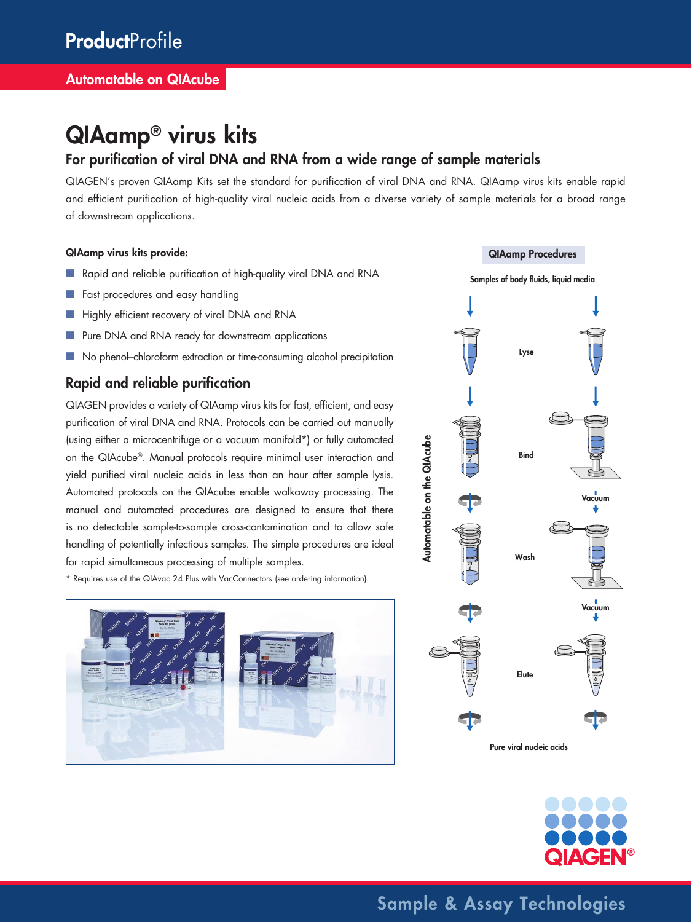## QIAamp® virus kits

## For purification of viral DNA and RNA from a wide range of sample materials

QIAGEN's proven QIAamp Kits set the standard for purification of viral DNA and RNA. QIAamp virus kits enable rapid and efficient purification of high-quality viral nucleic acids from a diverse variety of sample materials for a broad range of downstream applications.

#### QIAamp virus kits provide:

- Rapid and reliable purification of high-quality viral DNA and RNA
- Fast procedures and easy handling
- Highly efficient recovery of viral DNA and RNA
- Pure DNA and RNA ready for downstream applications
- No phenol–chloroform extraction or time-consuming alcohol precipitation

### Rapid and reliable purification

QIAGEN provides a variety of QIAamp virus kits for fast, efficient, and easy purification of viral DNA and RNA. Protocols can be carried out manually (using either a microcentrifuge or a vacuum manifold\*) or fully automated on the QIAcube®. Manual protocols require minimal user interaction and yield purified viral nucleic acids in less than an hour after sample lysis. Automated protocols on the QIAcube enable walkaway processing. The manual and automated procedures are designed to ensure that there is no detectable sample-to-sample cross-contamination and to allow safe handling of potentially infectious samples. The simple procedures are ideal for rapid simultaneous processing of multiple samples.

\* Requires use of the QIAvac 24 Plus with VacConnectors (see ordering information).







Sample & Assay Technologies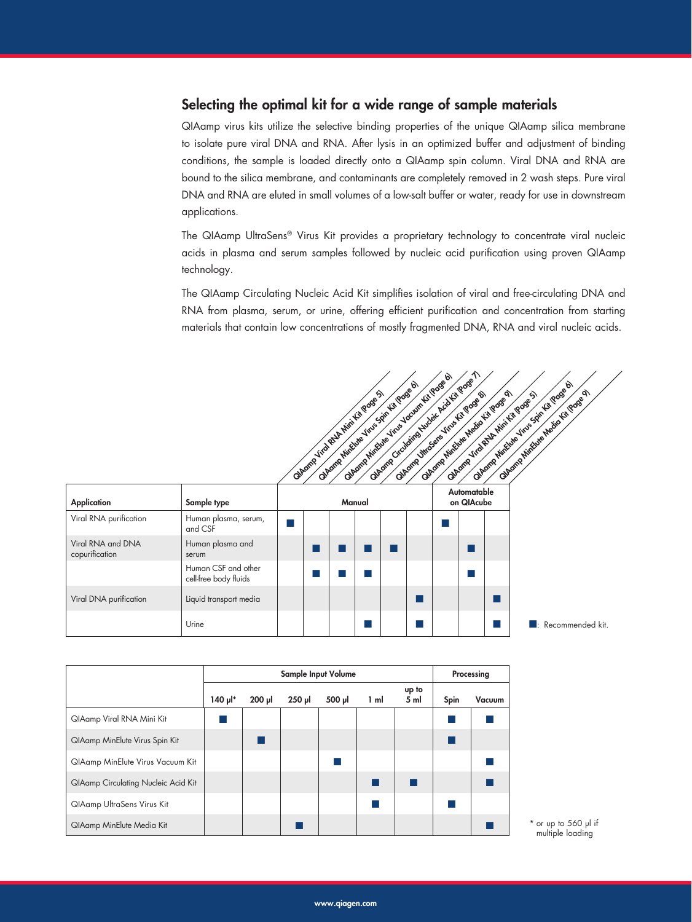### Selecting the optimal kit for a wide range of sample materials

QIAamp virus kits utilize the selective binding properties of the unique QIAamp silica membrane to isolate pure viral DNA and RNA. After lysis in an optimized buffer and adjustment of binding conditions, the sample is loaded directly onto a QIAamp spin column. Viral DNA and RNA are bound to the silica membrane, and contaminants are completely removed in 2 wash steps. Pure viral DNA and RNA are eluted in small volumes of a low-salt buffer or water, ready for use in downstream applications.

The QIAamp UltraSens® Virus Kit provides a proprietary technology to concentrate viral nucleic acids in plasma and serum samples followed by nucleic acid purification using proven QIAamp technology.

The QIAamp Circulating Nucleic Acid Kit simplifies isolation of viral and free-circulating DNA and RNA from plasma, serum, or urine, offering efficient purification and concentration from starting materials that contain low concentrations of mostly fragmented DNA, RNA and viral nucleic acids.

|                                     |                                              |  | Obsorp Hirtune House Liquid Fit Roads &<br>Olbom Hinguis Vins Spit Id Pose of<br>Obtome yrd Ret Nini Ki Pooe S |  | obsorp Circulating Hydre Ical tip goge 1<br>Olbomp Hinguie Helio (ct yough<br>Olbeme Umclears Viole Kit Page & |                           | Observe Marchan Hine Spin for Boose of<br>of Bromp Hindue Heliotiq Rose of<br>Olbom Jird Rich Hivi Ici Poos 5 |
|-------------------------------------|----------------------------------------------|--|----------------------------------------------------------------------------------------------------------------|--|----------------------------------------------------------------------------------------------------------------|---------------------------|---------------------------------------------------------------------------------------------------------------|
| <b>Application</b>                  | Sample type                                  |  | Manual                                                                                                         |  |                                                                                                                | Automatable<br>on QIAcube |                                                                                                               |
| Viral RNA purification              | Human plasma, serum,<br>and CSF              |  |                                                                                                                |  |                                                                                                                |                           |                                                                                                               |
| Viral RNA and DNA<br>copurification | Human plasma and<br>serum                    |  |                                                                                                                |  |                                                                                                                |                           |                                                                                                               |
|                                     | Human CSF and other<br>cell-free body fluids |  |                                                                                                                |  |                                                                                                                | <b>Service Service</b>    |                                                                                                               |
| Viral DNA purification              | Liquid transport media                       |  |                                                                                                                |  |                                                                                                                |                           |                                                                                                               |
|                                     | Urine                                        |  |                                                                                                                |  |                                                                                                                |                           | $\blacksquare$ : Recommended kit.                                                                             |

|                                            |                        | Sample Input Volume |          |        |      |               | Processing |        |
|--------------------------------------------|------------------------|---------------------|----------|--------|------|---------------|------------|--------|
|                                            | $140 \mu$ <sup>*</sup> | $200$ $\mu$         | $250$ pl | 500 µl | 1 ml | up to<br>5 ml | Spin       | Vacuum |
| QIAamp Viral RNA Mini Kit                  |                        |                     |          |        |      |               |            |        |
| QIAamp MinElute Virus Spin Kit             |                        |                     |          |        |      |               |            |        |
| <b>QIAamp MinElute Virus Vacuum Kit</b>    |                        |                     |          |        |      |               |            |        |
| <b>QIAamp Circulating Nucleic Acid Kit</b> |                        |                     |          |        |      |               |            |        |
| QIAamp UltraSens Virus Kit                 |                        |                     |          |        |      |               |            |        |
| QIAamp MinElute Media Kit                  |                        |                     |          |        |      |               |            |        |

multiple loading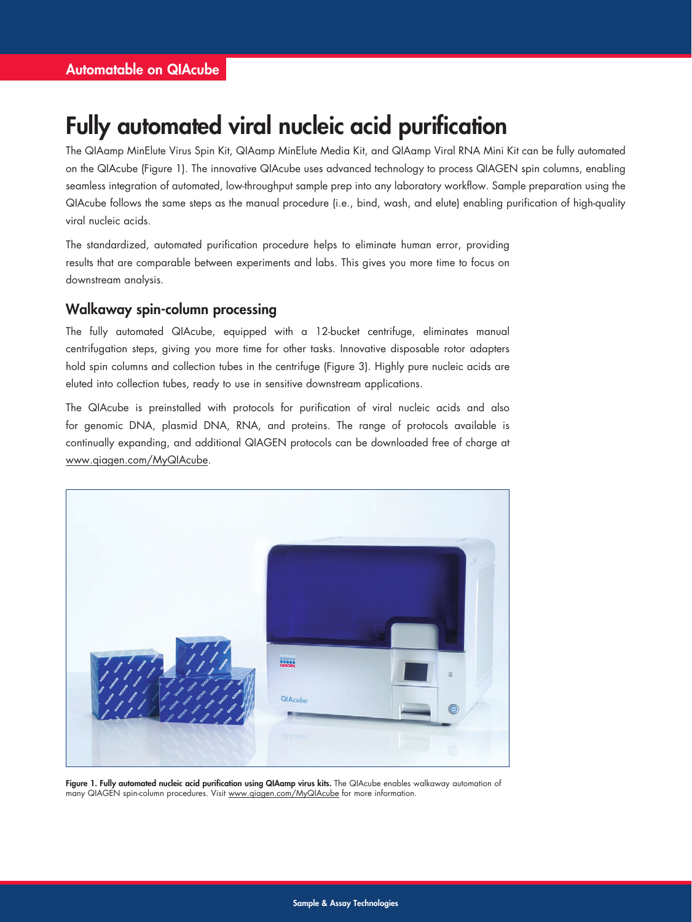## Fully automated viral nucleic acid purification

The QIAamp MinElute Virus Spin Kit, QIAamp MinElute Media Kit, and QIAamp Viral RNA Mini Kit can be fully automated on the QIAcube (Figure 1). The innovative QIAcube uses advanced technology to process QIAGEN spin columns, enabling seamless integration of automated, low-throughput sample prep into any laboratory workflow. Sample preparation using the QIAcube follows the same steps as the manual procedure (i.e., bind, wash, and elute) enabling purification of high-quality viral nucleic acids.

The standardized, automated purification procedure helps to eliminate human error, providing results that are comparable between experiments and labs. This gives you more time to focus on downstream analysis.

### Walkaway spin-column processing

The fully automated QIAcube, equipped with a 12-bucket centrifuge, eliminates manual centrifugation steps, giving you more time for other tasks. Innovative disposable rotor adapters hold spin columns and collection tubes in the centrifuge (Figure 3). Highly pure nucleic acids are eluted into collection tubes, ready to use in sensitive downstream applications.

The QIAcube is preinstalled with protocols for purification of viral nucleic acids and also for genomic DNA, plasmid DNA, RNA, and proteins. The range of protocols available is continually expanding, and additional QIAGEN protocols can be downloaded free of charge at www.qiagen.com/MyQIAcube.



Figure 1. Fully automated nucleic acid purification using QIAamp virus kits. The QIAcube enables walkaway automation of many QIAGEN spin-column procedures. Visit www.qiagen.com/MyQIAcube for more information.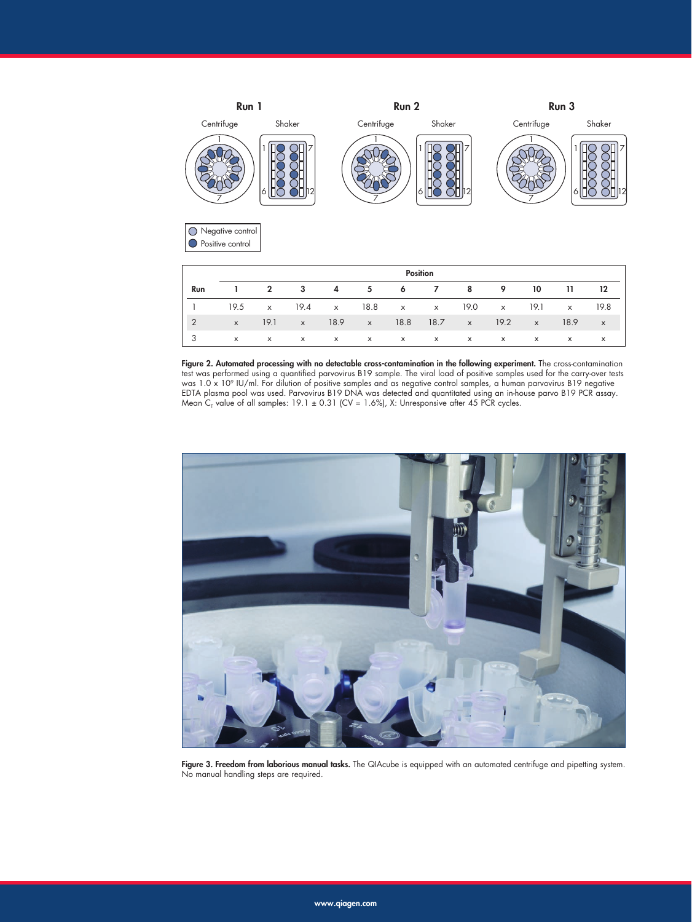

Figure 2. Automated processing with no detectable cross-contamination in the following experiment. The cross-contamination test was performed using a quantified parvovirus B19 sample. The viral load of positive samples used for the carry-over tests was 1.0 x 10° IU/ml. For dilution of positive samples and as negative control samples, a human parvovirus B19 negative EDTA plasma pool was used. Parvovirus B19 DNA was detected and quantitated using an in-house parvo B19 PCR assay. Mean C<sub>r</sub> value of all samples: 19.1  $\pm$  0.31 (CV = 1.6%), X: Unresponsive after 45 PCR cycles.



Figure 3. Freedom from laborious manual tasks. The QIAcube is equipped with an automated centrifuge and pipetting system. No manual handling steps are required.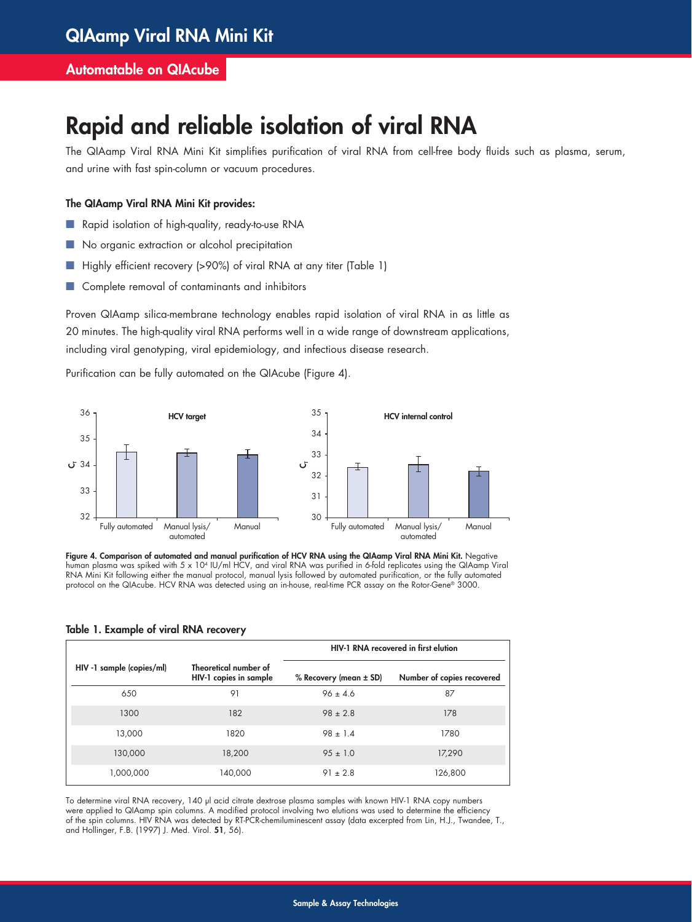### Automatable on QIAcube

## Rapid and reliable isolation of viral RNA

The QIAamp Viral RNA Mini Kit simplifies purification of viral RNA from cell-free body fluids such as plasma, serum, and urine with fast spin-column or vacuum procedures.

#### The QIAamp Viral RNA Mini Kit provides:

- Rapid isolation of high-quality, ready-to-use RNA
- No organic extraction or alcohol precipitation
- Highly efficient recovery (>90%) of viral RNA at any titer (Table 1)
- Complete removal of contaminants and inhibitors

Proven QIAamp silica-membrane technology enables rapid isolation of viral RNA in as little as 20 minutes. The high-quality viral RNA performs well in a wide range of downstream applications, including viral genotyping, viral epidemiology, and infectious disease research.

Purification can be fully automated on the QIAcube (Figure 4).



Figure 4. Comparison of automated and manual purification of HCV RNA using the QIAamp Viral RNA Mini Kit. Negative human plasma was spiked with 5 x 104 IU/ml HCV, and viral RNA was purified in 6-fold replicates using the QIAamp Viral RNA Mini Kit following either the manual protocol, manual lysis followed by automated purification, or the fully automated protocol on the QIAcube. HCV RNA was detected using an in-house, real-time PCR assay on the Rotor-Gene® 3000.

#### Table 1. Example of viral RNA recovery

|                           |                                                 | HIV-1 RNA recovered in first elution |                            |  |  |  |
|---------------------------|-------------------------------------------------|--------------------------------------|----------------------------|--|--|--|
| HIV -1 sample (copies/ml) | Theoretical number of<br>HIV-1 copies in sample | % Recovery (mean $\pm$ SD)           | Number of copies recovered |  |  |  |
| 650                       | 91                                              | $96 \pm 4.6$                         | 87                         |  |  |  |
| 1300                      | 182                                             | $98 \pm 2.8$                         | 178                        |  |  |  |
| 13,000                    | 1820                                            | $98 \pm 1.4$                         | 1780                       |  |  |  |
| 130,000                   | 18,200                                          | $95 \pm 1.0$                         | 17,290                     |  |  |  |
| 1,000,000                 | 140,000                                         | $91 \pm 2.8$                         | 126,800                    |  |  |  |

To determine viral RNA recovery, 140 μl acid citrate dextrose plasma samples with known HIV-1 RNA copy numbers were applied to QIAamp spin columns. A modified protocol involving two elutions was used to determine the efficiency of the spin columns. HIV RNA was detected by RT-PCR-chemiluminescent assay (data excerpted from Lin, H.J., Twandee, T., and Hollinger, F.B. (1997) J. Med. Virol. 51, 56).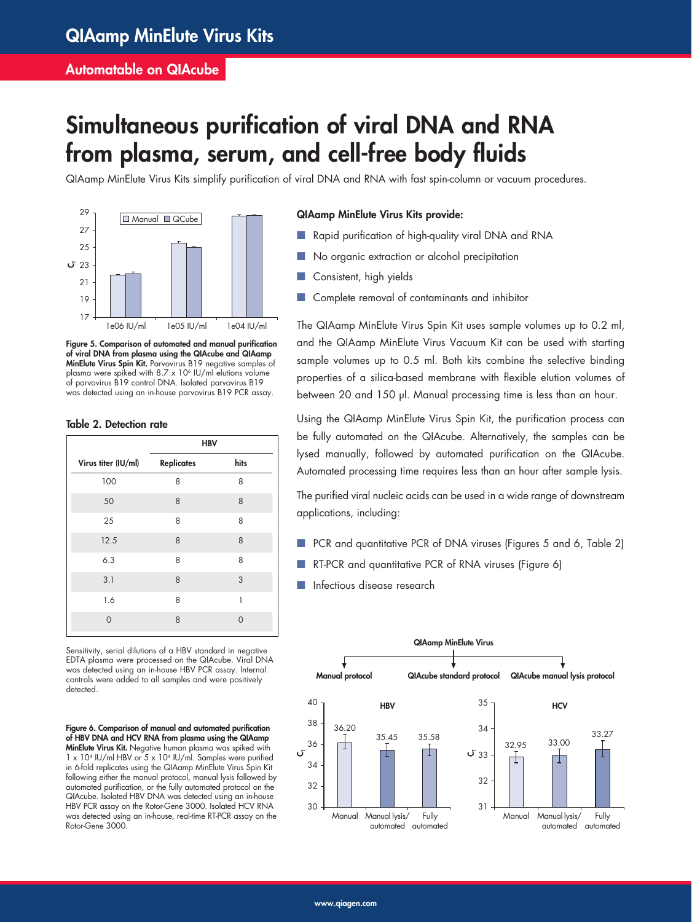### Automatable on QIAcube

# Simultaneous purification of viral DNA and RNA from plasma, serum, and cell-free body fluids

QIAamp MinElute Virus Kits simplify purification of viral DNA and RNA with fast spin-column or vacuum procedures.



Figure 5. Comparison of automated and manual purification of viral DNA from plasma using the QIAcube and QIAamp MinElute Virus Spin Kit. Parvovirus B19 negative samples of plasma were spiked with  $8.7 \times 10^6$  IU/ml elutions volume of parvovirus B19 control DNA. Isolated parvovirus B19 was detected using an in-house parvovirus B19 PCR assay.

#### Table 2. Detection rate

|                     | <b>HBV</b>        |          |
|---------------------|-------------------|----------|
| Virus titer (IU/ml) | <b>Replicates</b> | hits     |
| 100                 | 8                 | 8        |
| 50                  | 8                 | 8        |
| 25                  | 8                 | 8        |
| 12.5                | 8                 | 8        |
| 6.3                 | 8                 | 8        |
| 3.1                 | 8                 | 3        |
| 1.6                 | 8                 | 1        |
| $\overline{O}$      | 8                 | $\Omega$ |
|                     |                   |          |

Sensitivity, serial dilutions of a HBV standard in negative EDTA plasma were processed on the QIAcube. Viral DNA was detected using an in-house HBV PCR assay. Internal controls were added to all samples and were positively detected.

Figure 6. Comparison of manual and automated purification of HBV DNA and HCV RNA from plasma using the QIAamp MinElute Virus Kit. Negative human plasma was spiked with 1 x 10<sup>4</sup> IU/ml HBV or 5 x 10<sup>4</sup> IU/ml. Samples were purified in 6-fold replicates using the QIAamp MinElute Virus Spin Kit following either the manual protocol, manual lysis followed by automated purification, or the fully automated protocol on the QIAcube. Isolated HBV DNA was detected using an in-house HBV PCR assay on the Rotor-Gene 3000. Isolated HCV RNA was detected using an in-house, real-time RT-PCR assay on the Rotor-Gene 3000.

#### QIAamp MinElute Virus Kits provide:

- Rapid purification of high-quality viral DNA and RNA
- No organic extraction or alcohol precipitation
- Consistent, high yields
- Complete removal of contaminants and inhibitor

The QIAamp MinElute Virus Spin Kit uses sample volumes up to 0.2 ml, and the QIAamp MinElute Virus Vacuum Kit can be used with starting sample volumes up to 0.5 ml. Both kits combine the selective binding properties of a silica-based membrane with flexible elution volumes of between 20 and 150 µl. Manual processing time is less than an hour.

Using the QIAamp MinElute Virus Spin Kit, the purification process can be fully automated on the QIAcube. Alternatively, the samples can be lysed manually, followed by automated purification on the QIAcube. Automated processing time requires less than an hour after sample lysis.

The purified viral nucleic acids can be used in a wide range of downstream applications, including:

- PCR and quantitative PCR of DNA viruses (Figures 5 and 6, Table 2)
- RT-PCR and quantitative PCR of RNA viruses (Figure 6)
- Infectious disease research

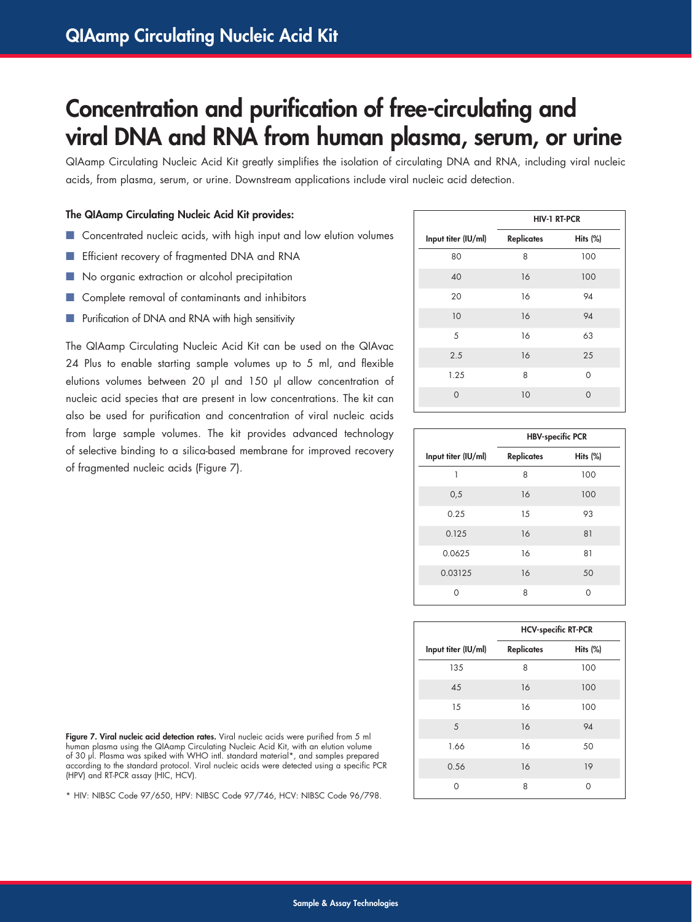## Concentration and purification of free-circulating and viral DNA and RNA from human plasma, serum, or urine

QIAamp Circulating Nucleic Acid Kit greatly simplifies the isolation of circulating DNA and RNA, including viral nucleic acids, from plasma, serum, or urine. Downstream applications include viral nucleic acid detection.

#### The QIAamp Circulating Nucleic Acid Kit provides:

- Concentrated nucleic acids, with high input and low elution volumes
- Efficient recovery of fragmented DNA and RNA
- No organic extraction or alcohol precipitation
- Complete removal of contaminants and inhibitors
- Purification of DNA and RNA with high sensitivity

The QIAamp Circulating Nucleic Acid Kit can be used on the QIAvac 24 Plus to enable starting sample volumes up to 5 ml, and flexible elutions volumes between 20 µl and 150 µl allow concentration of nucleic acid species that are present in low concentrations. The kit can also be used for purification and concentration of viral nucleic acids from large sample volumes. The kit provides advanced technology of selective binding to a silica-based membrane for improved recovery of fragmented nucleic acids (Figure 7).

|                     | <b>HIV-1 RT-PCR</b> |          |
|---------------------|---------------------|----------|
| Input titer (IU/ml) | <b>Replicates</b>   | Hits (%) |
| 80                  | 8                   | 100      |
| 40                  | 16                  | 100      |
| 20                  | 16                  | 94       |
| 10                  | 16                  | 94       |
| 5                   | 16                  | 63       |
| 2.5                 | 16                  | 25       |
| 1.25                | 8                   | 0        |
| $\Omega$            | 10                  | $\Omega$ |

|                     | <b>HBV-specific PCR</b> |          |  |  |  |
|---------------------|-------------------------|----------|--|--|--|
| Input titer (IU/ml) | <b>Replicates</b>       | Hits (%) |  |  |  |
| 1                   | 8                       | 100      |  |  |  |
| 0,5                 | 16                      | 100      |  |  |  |
| 0.25                | 15                      | 93       |  |  |  |
| 0.125               | 16                      | 81       |  |  |  |
| 0.0625              | 16                      | 81       |  |  |  |
| 0.03125             | 16                      | 50       |  |  |  |
| $\Omega$            | 8                       | Ω        |  |  |  |

|                     | <b>HCV-specific RT-PCR</b> |             |  |  |  |
|---------------------|----------------------------|-------------|--|--|--|
| Input titer (IU/ml) | <b>Replicates</b>          | Hits $(\%)$ |  |  |  |
| 135                 | 8                          | 100         |  |  |  |
| 45                  | 16                         | 100         |  |  |  |
| 15                  | 16                         | 100         |  |  |  |
| 5                   | 16                         | 94          |  |  |  |
| 1.66                | 16                         | 50          |  |  |  |
| 0.56                | 16                         | 19          |  |  |  |
| 0                   | 8                          | Ω           |  |  |  |

Figure 7. Viral nucleic acid detection rates. Viral nucleic acids were purified from 5 ml human plasma using the QIAamp Circulating Nucleic Acid Kit, with an elution volume of 30 μl. Plasma was spiked with WHO intl. standard material\*, and samples prepared according to the standard protocol. Viral nucleic acids were detected using a specific PCR (HPV) and RT-PCR assay (HIC, HCV).

\* HIV: NIBSC Code 97/650, HPV: NIBSC Code 97/746, HCV: NIBSC Code 96/798.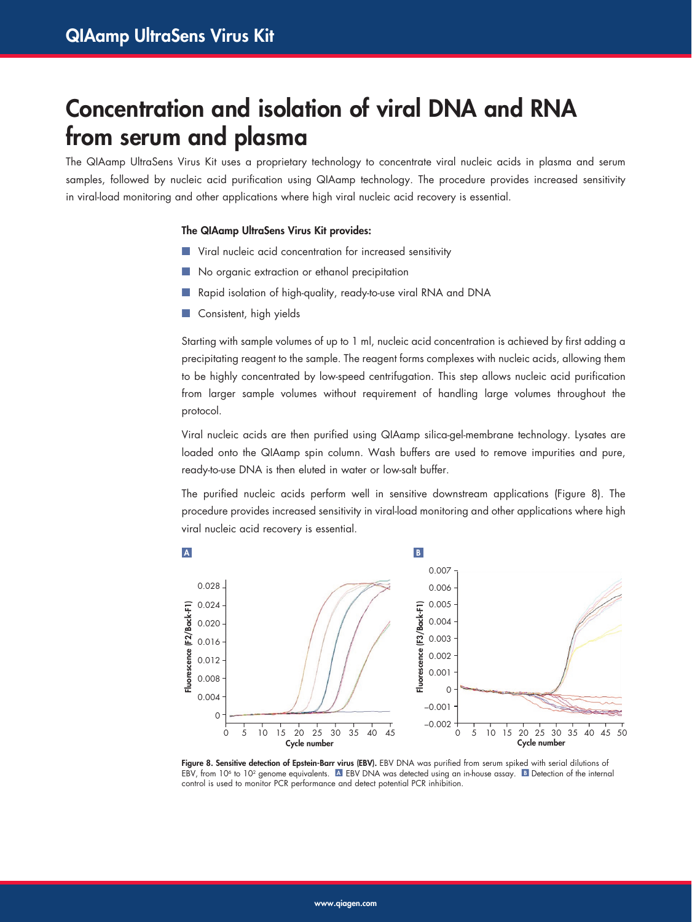## Concentration and isolation of viral DNA and RNA from serum and plasma

The QIAamp UltraSens Virus Kit uses a proprietary technology to concentrate viral nucleic acids in plasma and serum samples, followed by nucleic acid purification using QIAamp technology. The procedure provides increased sensitivity in viral-load monitoring and other applications where high viral nucleic acid recovery is essential.

#### The QIAamp UltraSens Virus Kit provides:

- Viral nucleic acid concentration for increased sensitivity
- No organic extraction or ethanol precipitation
- Rapid isolation of high-quality, ready-to-use viral RNA and DNA
- Consistent, high yields

Starting with sample volumes of up to 1 ml, nucleic acid concentration is achieved by first adding a precipitating reagent to the sample. The reagent forms complexes with nucleic acids, allowing them to be highly concentrated by low-speed centrifugation. This step allows nucleic acid purification from larger sample volumes without requirement of handling large volumes throughout the protocol.

Viral nucleic acids are then purified using QIAamp silica-gel-membrane technology. Lysates are loaded onto the QIAamp spin column. Wash buffers are used to remove impurities and pure, ready-to-use DNA is then eluted in water or low-salt buffer.

The purified nucleic acids perform well in sensitive downstream applications (Figure 8). The procedure provides increased sensitivity in viral-load monitoring and other applications where high viral nucleic acid recovery is essential.



Figure 8. Sensitive detection of Epstein-Barr virus (EBV). EBV DNA was purified from serum spiked with serial dilutions of EBV, from  $10^6$  to  $10^2$  genome equivalents. A EBV DNA was detected using an in-house assay. B Detection of the internal control is used to monitor PCR performance and detect potential PCR inhibition.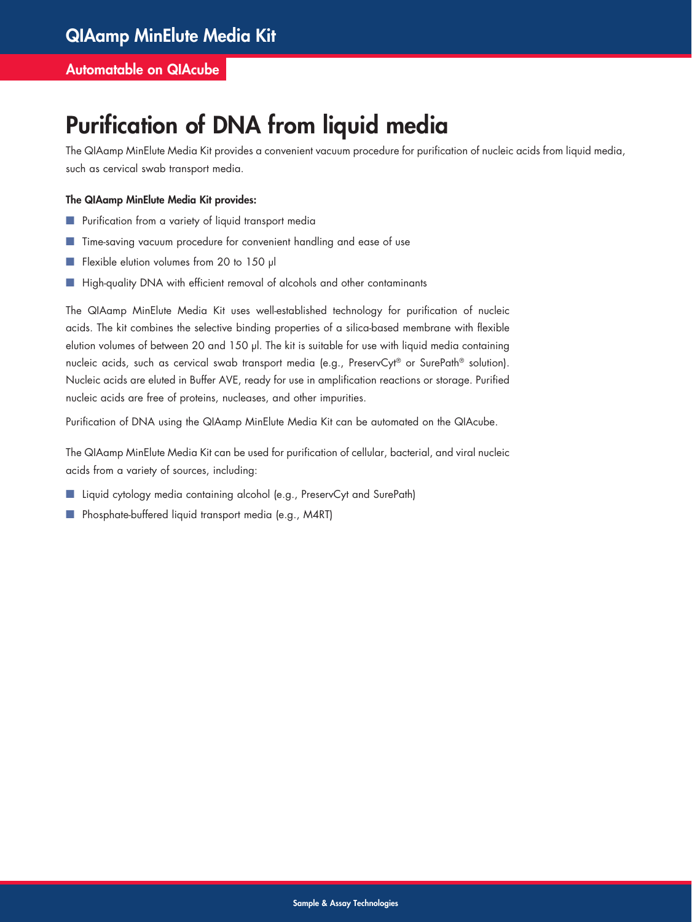### Automatable on QIAcube

# Purification of DNA from liquid media

The QIAamp MinElute Media Kit provides a convenient vacuum procedure for purification of nucleic acids from liquid media, such as cervical swab transport media.

#### The QIAamp MinElute Media Kit provides:

- Purification from a variety of liquid transport media
- Time-saving vacuum procedure for convenient handling and ease of use
- Flexible elution volumes from 20 to 150 µl
- High-quality DNA with efficient removal of alcohols and other contaminants

The QIAamp MinElute Media Kit uses well-established technology for purification of nucleic acids. The kit combines the selective binding properties of a silica-based membrane with flexible elution volumes of between 20 and 150 µl. The kit is suitable for use with liquid media containing nucleic acids, such as cervical swab transport media (e.g., PreservCyt® or SurePath® solution). Nucleic acids are eluted in Buffer AVE, ready for use in amplification reactions or storage. Purified nucleic acids are free of proteins, nucleases, and other impurities.

Purification of DNA using the QIAamp MinElute Media Kit can be automated on the QIAcube.

The QIAamp MinElute Media Kit can be used for purification of cellular, bacterial, and viral nucleic acids from a variety of sources, including:

- Liquid cytology media containing alcohol (e.g., PreservCyt and SurePath)
- Phosphate-buffered liquid transport media (e.g., M4RT)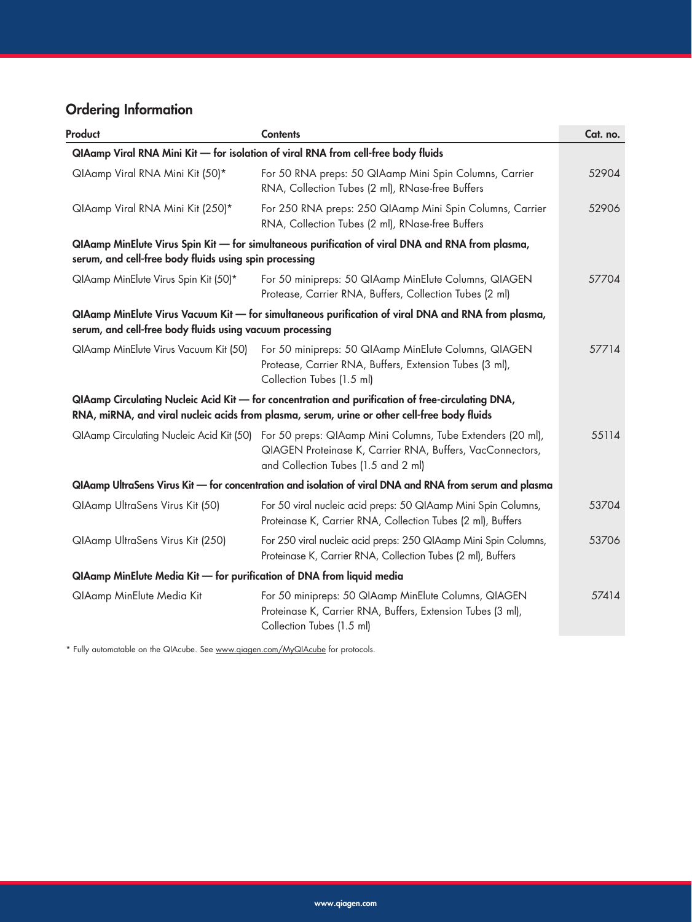## Ordering Information

| Product                                                                           | <b>Contents</b>                                                                                                                                                                                         | Cat. no. |  |  |  |
|-----------------------------------------------------------------------------------|---------------------------------------------------------------------------------------------------------------------------------------------------------------------------------------------------------|----------|--|--|--|
| QIAamp Viral RNA Mini Kit - for isolation of viral RNA from cell-free body fluids |                                                                                                                                                                                                         |          |  |  |  |
| QIAamp Viral RNA Mini Kit (50)*                                                   | For 50 RNA preps: 50 QIAamp Mini Spin Columns, Carrier<br>RNA, Collection Tubes (2 ml), RNase-free Buffers                                                                                              | 52904    |  |  |  |
| QIAamp Viral RNA Mini Kit (250)*                                                  | For 250 RNA preps: 250 QIAamp Mini Spin Columns, Carrier<br>RNA, Collection Tubes (2 ml), RNase-free Buffers                                                                                            | 52906    |  |  |  |
| serum, and cell-free body fluids using spin processing                            | QIAamp MinElute Virus Spin Kit — for simultaneous purification of viral DNA and RNA from plasma,                                                                                                        |          |  |  |  |
| QIAamp MinElute Virus Spin Kit (50)*                                              | For 50 minipreps: 50 QIAamp MinElute Columns, QIAGEN<br>Protease, Carrier RNA, Buffers, Collection Tubes (2 ml)                                                                                         | 57704    |  |  |  |
| serum, and cell-free body fluids using vacuum processing                          | QIAamp MinElute Virus Vacuum Kit — for simultaneous purification of viral DNA and RNA from plasma,                                                                                                      |          |  |  |  |
| QIAamp MinElute Virus Vacuum Kit (50)                                             | For 50 minipreps: 50 QIAamp MinElute Columns, QIAGEN<br>Protease, Carrier RNA, Buffers, Extension Tubes (3 ml),<br>Collection Tubes (1.5 ml)                                                            | 57714    |  |  |  |
|                                                                                   | QIAamp Circulating Nucleic Acid Kit - for concentration and purification of free-circulating DNA,<br>RNA, miRNA, and viral nucleic acids from plasma, serum, urine or other cell-free body fluids       |          |  |  |  |
|                                                                                   | QIAamp Circulating Nucleic Acid Kit (50) For 50 preps: QIAamp Mini Columns, Tube Extenders (20 ml),<br>QIAGEN Proteinase K, Carrier RNA, Buffers, VacConnectors,<br>and Collection Tubes (1.5 and 2 ml) | 55114    |  |  |  |
|                                                                                   | QIAamp UltraSens Virus Kit — for concentration and isolation of viral DNA and RNA from serum and plasma                                                                                                 |          |  |  |  |
| QIAamp UltraSens Virus Kit (50)                                                   | For 50 viral nucleic acid preps: 50 QIAamp Mini Spin Columns,<br>Proteinase K, Carrier RNA, Collection Tubes (2 ml), Buffers                                                                            | 53704    |  |  |  |
| QIAamp UltraSens Virus Kit (250)                                                  | For 250 viral nucleic acid preps: 250 QIAamp Mini Spin Columns,<br>Proteinase K, Carrier RNA, Collection Tubes (2 ml), Buffers                                                                          | 53706    |  |  |  |
| QIAamp MinElute Media Kit - for purification of DNA from liquid media             |                                                                                                                                                                                                         |          |  |  |  |
| QIAamp MinElute Media Kit                                                         | For 50 minipreps: 50 QIAamp MinElute Columns, QIAGEN<br>Proteinase K, Carrier RNA, Buffers, Extension Tubes (3 ml),<br>Collection Tubes (1.5 ml)                                                        | 57414    |  |  |  |

\* Fully automatable on the QIAcube. See www.qiagen.com/MyQIAcube for protocols.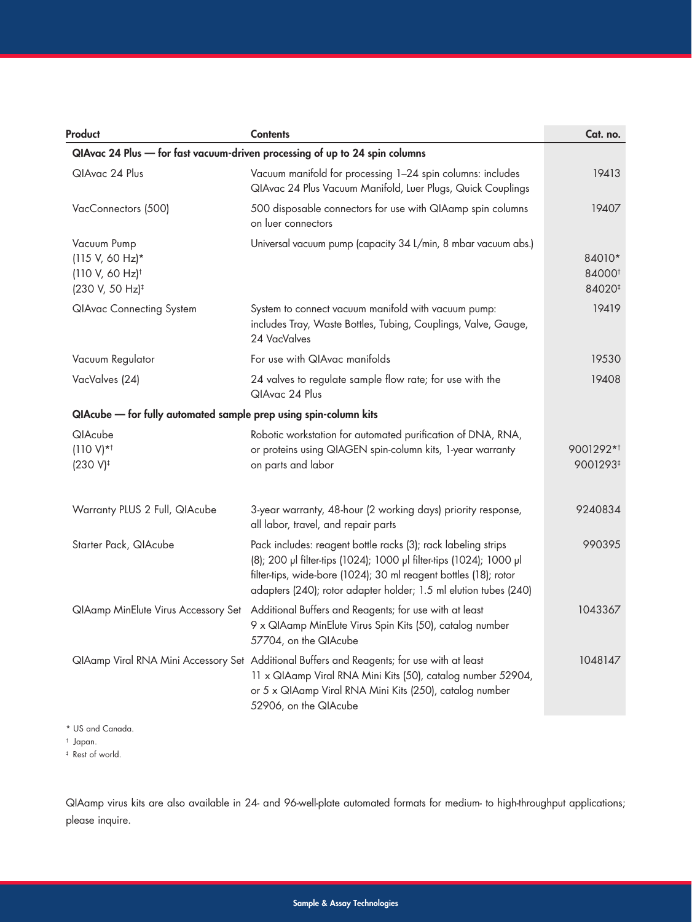| Product                                                                                           | <b>Contents</b>                                                                                                                                                                                                                                                              | Cat. no.                                           |  |  |  |  |
|---------------------------------------------------------------------------------------------------|------------------------------------------------------------------------------------------------------------------------------------------------------------------------------------------------------------------------------------------------------------------------------|----------------------------------------------------|--|--|--|--|
| QIAvac 24 Plus - for fast vacuum-driven processing of up to 24 spin columns                       |                                                                                                                                                                                                                                                                              |                                                    |  |  |  |  |
| QIAvac 24 Plus                                                                                    | Vacuum manifold for processing 1-24 spin columns: includes<br>QIAvac 24 Plus Vacuum Manifold, Luer Plugs, Quick Couplings                                                                                                                                                    | 19413                                              |  |  |  |  |
| VacConnectors (500)                                                                               | 500 disposable connectors for use with QIAamp spin columns<br>on luer connectors                                                                                                                                                                                             | 19407                                              |  |  |  |  |
| Vacuum Pump<br>$(115 V, 60 Hz)^*$<br>$(110 V, 60 Hz)$ <sup>†</sup><br>(230 V, 50 Hz) <sup>‡</sup> | Universal vacuum pump (capacity 34 L/min, 8 mbar vacuum abs.)                                                                                                                                                                                                                | 84010*<br>84000 <sup>t</sup><br>84020 <sup>#</sup> |  |  |  |  |
| <b>QIAvac Connecting System</b>                                                                   | System to connect vacuum manifold with vacuum pump:<br>includes Tray, Waste Bottles, Tubing, Couplings, Valve, Gauge,<br>24 VacValves                                                                                                                                        | 19419                                              |  |  |  |  |
| Vacuum Regulator                                                                                  | For use with QIAvac manifolds                                                                                                                                                                                                                                                | 19530                                              |  |  |  |  |
| VacValves (24)                                                                                    | 24 valves to regulate sample flow rate; for use with the<br>QIAvac 24 Plus                                                                                                                                                                                                   | 19408                                              |  |  |  |  |
| QIAcube - for fully automated sample prep using spin-column kits                                  |                                                                                                                                                                                                                                                                              |                                                    |  |  |  |  |
| QIAcube<br>$(110 V)*†$<br>$(230 V)^{\ddagger}$                                                    | Robotic workstation for automated purification of DNA, RNA,<br>or proteins using QIAGEN spin-column kits, 1-year warranty<br>on parts and labor                                                                                                                              | 9001292*1<br>9001293#                              |  |  |  |  |
| Warranty PLUS 2 Full, QIAcube                                                                     | 3-year warranty, 48-hour (2 working days) priority response,<br>all labor, travel, and repair parts                                                                                                                                                                          | 9240834                                            |  |  |  |  |
| Starter Pack, QIAcube                                                                             | Pack includes: reagent bottle racks (3); rack labeling strips<br>(8); 200 µl filter-tips (1024); 1000 µl filter-tips (1024); 1000 µl<br>filter-tips, wide-bore (1024); 30 ml reagent bottles (18); rotor<br>adapters (240); rotor adapter holder; 1.5 ml elution tubes (240) | 990395                                             |  |  |  |  |
| QIAamp MinElute Virus Accessory Set                                                               | Additional Buffers and Reagents; for use with at least<br>9 x QIAamp MinElute Virus Spin Kits (50), catalog number<br>57704, on the QIAcube                                                                                                                                  | 1043367                                            |  |  |  |  |
|                                                                                                   | QIAamp Viral RNA Mini Accessory Set Additional Buffers and Reagents; for use with at least<br>11 x QIAamp Viral RNA Mini Kits (50), catalog number 52904,<br>or 5 x QIAamp Viral RNA Mini Kits (250), catalog number<br>52906, on the QIAcube                                | 1048147                                            |  |  |  |  |

\* US and Canada.

† Japan.

‡ Rest of world.

QIAamp virus kits are also available in 24- and 96-well-plate automated formats for medium- to high-throughput applications; please inquire.